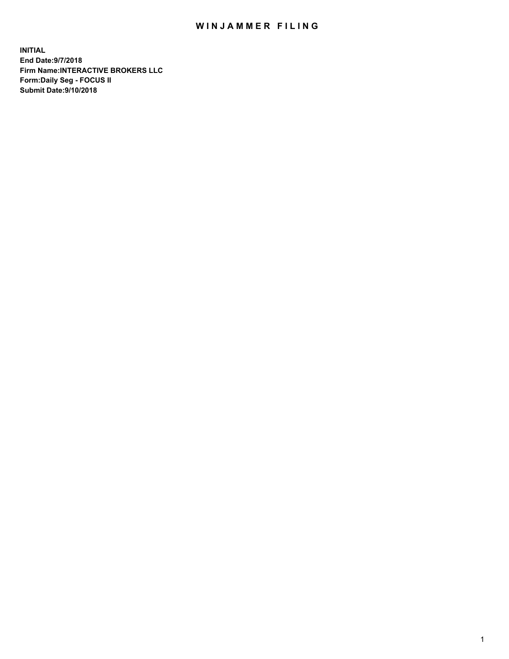## WIN JAMMER FILING

**INITIAL End Date:9/7/2018 Firm Name:INTERACTIVE BROKERS LLC Form:Daily Seg - FOCUS II Submit Date:9/10/2018**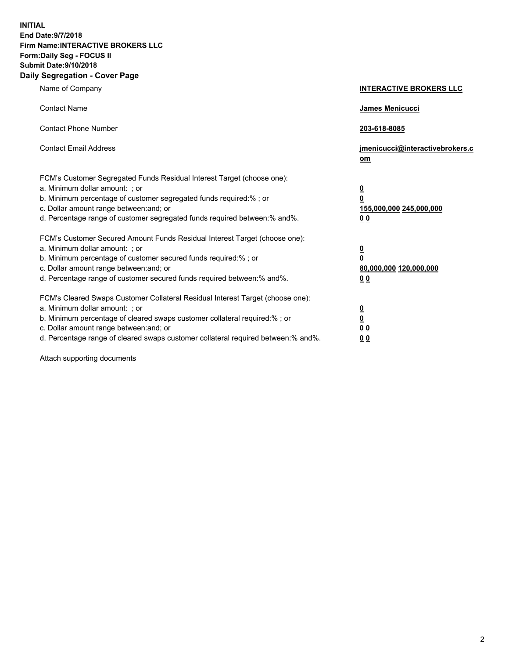**INITIAL End Date:9/7/2018 Firm Name:INTERACTIVE BROKERS LLC Form:Daily Seg - FOCUS II Submit Date:9/10/2018 Daily Segregation - Cover Page**

| Name of Company                                                                                                                                                                                                                                                                                                                | <b>INTERACTIVE BROKERS LLC</b>                                                                  |
|--------------------------------------------------------------------------------------------------------------------------------------------------------------------------------------------------------------------------------------------------------------------------------------------------------------------------------|-------------------------------------------------------------------------------------------------|
| <b>Contact Name</b>                                                                                                                                                                                                                                                                                                            | <b>James Menicucci</b>                                                                          |
| <b>Contact Phone Number</b>                                                                                                                                                                                                                                                                                                    | 203-618-8085                                                                                    |
| <b>Contact Email Address</b>                                                                                                                                                                                                                                                                                                   | jmenicucci@interactivebrokers.c<br>$om$                                                         |
| FCM's Customer Segregated Funds Residual Interest Target (choose one):<br>a. Minimum dollar amount: ; or<br>b. Minimum percentage of customer segregated funds required:% ; or<br>c. Dollar amount range between: and; or<br>d. Percentage range of customer segregated funds required between:% and%.                         | $\overline{\mathbf{0}}$<br>$\overline{\mathbf{0}}$<br>155,000,000 245,000,000<br>0 <sub>0</sub> |
| FCM's Customer Secured Amount Funds Residual Interest Target (choose one):<br>a. Minimum dollar amount: ; or<br>b. Minimum percentage of customer secured funds required:%; or<br>c. Dollar amount range between: and; or<br>d. Percentage range of customer secured funds required between:% and%.                            | $\overline{\mathbf{0}}$<br>$\overline{\mathbf{0}}$<br>80,000,000 120,000,000<br>0 <sub>0</sub>  |
| FCM's Cleared Swaps Customer Collateral Residual Interest Target (choose one):<br>a. Minimum dollar amount: ; or<br>b. Minimum percentage of cleared swaps customer collateral required:% ; or<br>c. Dollar amount range between: and; or<br>d. Percentage range of cleared swaps customer collateral required between:% and%. | $\overline{\mathbf{0}}$<br>$\underline{\mathbf{0}}$<br>0 <sub>0</sub><br>00                     |

Attach supporting documents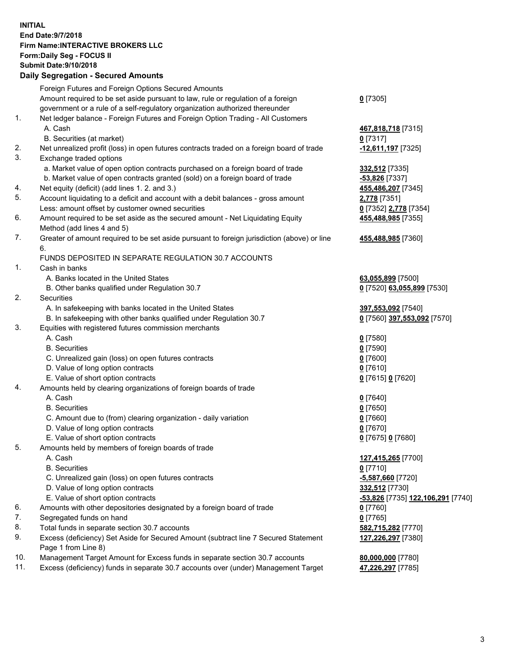## **INITIAL End Date:9/7/2018 Firm Name:INTERACTIVE BROKERS LLC Form:Daily Seg - FOCUS II Submit Date:9/10/2018 Daily Segregation - Secured Amounts**

|     | Daily Ocglegation - Occured Anioants                                                        |                                                |
|-----|---------------------------------------------------------------------------------------------|------------------------------------------------|
|     | Foreign Futures and Foreign Options Secured Amounts                                         |                                                |
|     | Amount required to be set aside pursuant to law, rule or regulation of a foreign            | $0$ [7305]                                     |
|     | government or a rule of a self-regulatory organization authorized thereunder                |                                                |
| 1.  | Net ledger balance - Foreign Futures and Foreign Option Trading - All Customers             |                                                |
|     | A. Cash                                                                                     | 467,818,718 [7315]                             |
|     | B. Securities (at market)                                                                   | $0$ [7317]                                     |
| 2.  | Net unrealized profit (loss) in open futures contracts traded on a foreign board of trade   | -12,611,197 [7325]                             |
| 3.  | Exchange traded options                                                                     |                                                |
|     | a. Market value of open option contracts purchased on a foreign board of trade              | 332,512 [7335]                                 |
|     | b. Market value of open contracts granted (sold) on a foreign board of trade                | -53,826 [7337]                                 |
| 4.  | Net equity (deficit) (add lines 1.2. and 3.)                                                | 455,486,207 [7345]                             |
| 5.  | Account liquidating to a deficit and account with a debit balances - gross amount           | 2,778 [7351]                                   |
|     | Less: amount offset by customer owned securities                                            | 0 [7352] 2,778 [7354]                          |
| 6.  | Amount required to be set aside as the secured amount - Net Liquidating Equity              | 455,488,985 [7355]                             |
|     | Method (add lines 4 and 5)                                                                  |                                                |
| 7.  | Greater of amount required to be set aside pursuant to foreign jurisdiction (above) or line | 455,488,985 [7360]                             |
|     | 6.                                                                                          |                                                |
|     | FUNDS DEPOSITED IN SEPARATE REGULATION 30.7 ACCOUNTS                                        |                                                |
| 1.  | Cash in banks                                                                               |                                                |
|     | A. Banks located in the United States                                                       | 63,055,899 [7500]                              |
|     | B. Other banks qualified under Regulation 30.7                                              | 0 [7520] 63,055,899 [7530]                     |
| 2.  | Securities                                                                                  |                                                |
|     | A. In safekeeping with banks located in the United States                                   | 397,553,092 [7540]                             |
|     | B. In safekeeping with other banks qualified under Regulation 30.7                          | 0 [7560] 397,553,092 [7570]                    |
| 3.  | Equities with registered futures commission merchants                                       |                                                |
|     | A. Cash                                                                                     | $0$ [7580]                                     |
|     | <b>B.</b> Securities                                                                        | $0$ [7590]                                     |
|     | C. Unrealized gain (loss) on open futures contracts                                         | $0$ [7600]                                     |
|     | D. Value of long option contracts                                                           | $0$ [7610]                                     |
|     | E. Value of short option contracts                                                          | 0 [7615] 0 [7620]                              |
| 4.  | Amounts held by clearing organizations of foreign boards of trade                           |                                                |
|     | A. Cash                                                                                     | $0$ [7640]                                     |
|     | <b>B.</b> Securities                                                                        | $0$ [7650]                                     |
|     | C. Amount due to (from) clearing organization - daily variation                             | $0$ [7660]                                     |
|     | D. Value of long option contracts                                                           | $0$ [7670]                                     |
|     | E. Value of short option contracts                                                          | 0 [7675] 0 [7680]                              |
| 5.  | Amounts held by members of foreign boards of trade                                          |                                                |
|     | A. Cash                                                                                     | 127,415,265 [7700]                             |
|     | <b>B.</b> Securities                                                                        | $0$ [7710]                                     |
|     | C. Unrealized gain (loss) on open futures contracts                                         | $-5,587,660$ [7720]                            |
|     | D. Value of long option contracts                                                           | 332,512 [7730]                                 |
|     | E. Value of short option contracts                                                          | <mark>-53,826</mark> [7735] 122,106,291 [7740] |
| 6.  | Amounts with other depositories designated by a foreign board of trade                      | 0 [7760]                                       |
| 7.  | Segregated funds on hand                                                                    | $0$ [7765]                                     |
| 8.  | Total funds in separate section 30.7 accounts                                               | 582,715,282 [7770]                             |
| 9.  | Excess (deficiency) Set Aside for Secured Amount (subtract line 7 Secured Statement         | 127,226,297 [7380]                             |
|     | Page 1 from Line 8)                                                                         |                                                |
| 10. | Management Target Amount for Excess funds in separate section 30.7 accounts                 | 80,000,000 [7780]                              |
| 11. | Excess (deficiency) funds in separate 30.7 accounts over (under) Management Target          | 47,226,297 [7785]                              |
|     |                                                                                             |                                                |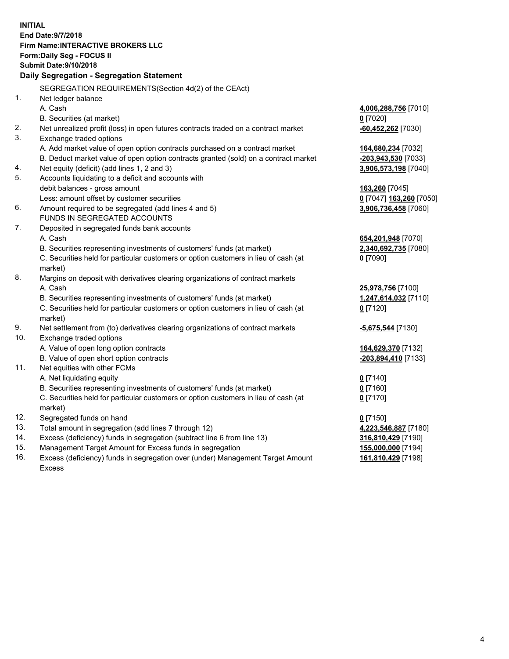**INITIAL End Date:9/7/2018 Firm Name:INTERACTIVE BROKERS LLC Form:Daily Seg - FOCUS II Submit Date:9/10/2018 Daily Segregation - Segregation Statement** SEGREGATION REQUIREMENTS(Section 4d(2) of the CEAct) 1. Net ledger balance A. Cash **4,006,288,756** [7010] B. Securities (at market) **0** [7020] 2. Net unrealized profit (loss) in open futures contracts traded on a contract market **-60,452,262** [7030] 3. Exchange traded options A. Add market value of open option contracts purchased on a contract market **164,680,234** [7032] B. Deduct market value of open option contracts granted (sold) on a contract market **-203,943,530** [7033] 4. Net equity (deficit) (add lines 1, 2 and 3) **3,906,573,198** [7040] 5. Accounts liquidating to a deficit and accounts with debit balances - gross amount **163,260** [7045] Less: amount offset by customer securities **0** [7047] **163,260** [7050] 6. Amount required to be segregated (add lines 4 and 5) **3,906,736,458** [7060] FUNDS IN SEGREGATED ACCOUNTS 7. Deposited in segregated funds bank accounts A. Cash **654,201,948** [7070] B. Securities representing investments of customers' funds (at market) **2,340,692,735** [7080] C. Securities held for particular customers or option customers in lieu of cash (at market) **0** [7090] 8. Margins on deposit with derivatives clearing organizations of contract markets A. Cash **25,978,756** [7100] B. Securities representing investments of customers' funds (at market) **1,247,614,032** [7110] C. Securities held for particular customers or option customers in lieu of cash (at market) **0** [7120] 9. Net settlement from (to) derivatives clearing organizations of contract markets **-5,675,544** [7130] 10. Exchange traded options A. Value of open long option contracts **164,629,370** [7132] B. Value of open short option contracts **-203,894,410** [7133] 11. Net equities with other FCMs A. Net liquidating equity **0** [7140] B. Securities representing investments of customers' funds (at market) **0** [7160] C. Securities held for particular customers or option customers in lieu of cash (at market) **0** [7170] 12. Segregated funds on hand **0** [7150] 13. Total amount in segregation (add lines 7 through 12) **4,223,546,887** [7180] 14. Excess (deficiency) funds in segregation (subtract line 6 from line 13) **316,810,429** [7190] 15. Management Target Amount for Excess funds in segregation **155,000,000** [7194] **161,810,429** [7198]

16. Excess (deficiency) funds in segregation over (under) Management Target Amount Excess